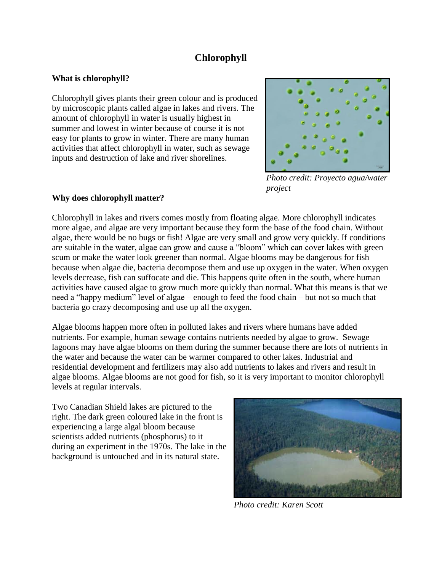# **Chlorophyll**

#### **What is chlorophyll?**

Chlorophyll gives plants their green colour and is produced by microscopic plants called algae in lakes and rivers. The amount of chlorophyll in water is usually highest in summer and lowest in winter because of course it is not easy for plants to grow in winter. There are many human activities that affect chlorophyll in water, such as sewage inputs and destruction of lake and river shorelines.



 *Photo credit: Proyecto agua/water project* 

## **Why does chlorophyll matter?**

Chlorophyll in lakes and rivers comes mostly from floating algae. More chlorophyll indicates more algae, and algae are very important because they form the base of the food chain. Without algae, there would be no bugs or fish! Algae are very small and grow very quickly. If conditions are suitable in the water, algae can grow and cause a "bloom" which can cover lakes with green scum or make the water look greener than normal. Algae blooms may be dangerous for fish because when algae die, bacteria decompose them and use up oxygen in the water. When oxygen levels decrease, fish can suffocate and die. This happens quite often in the south, where human activities have caused algae to grow much more quickly than normal. What this means is that we need a "happy medium" level of algae – enough to feed the food chain – but not so much that bacteria go crazy decomposing and use up all the oxygen.

Algae blooms happen more often in polluted lakes and rivers where humans have added nutrients. For example, human sewage contains nutrients needed by algae to grow. Sewage lagoons may have algae blooms on them during the summer because there are lots of nutrients in the water and because the water can be warmer compared to other lakes. Industrial and residential development and fertilizers may also add nutrients to lakes and rivers and result in algae blooms. Algae blooms are not good for fish, so it is very important to monitor chlorophyll levels at regular intervals.

Two Canadian Shield lakes are pictured to the right. The dark green coloured lake in the front is experiencing a large algal bloom because scientists added nutrients (phosphorus) to it during an experiment in the 1970s. The lake in the background is untouched and in its natural state.



*Photo credit: Karen Scott*